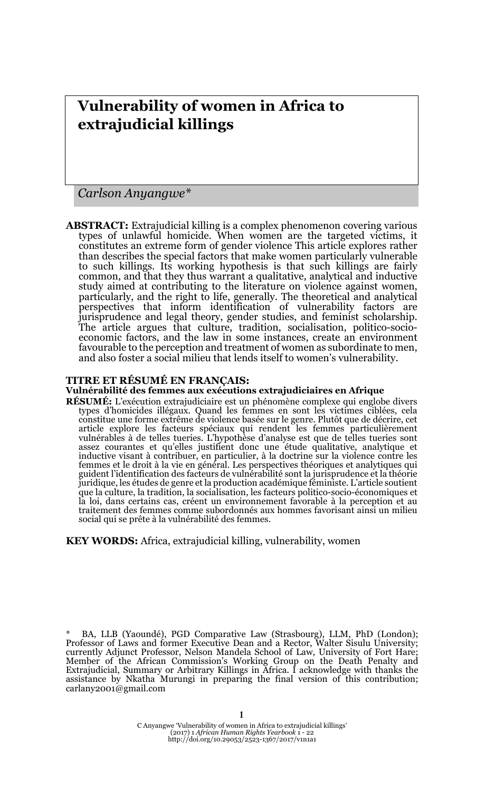# **Vulnerability of women in Africa to extrajudicial killings**

*Carlson Anyangwe\**

**ABSTRACT:** Extrajudicial killing is a complex phenomenon covering various types of unlawful homicide. When women are the targeted victims, it constitutes an extreme form of gender violence This article explores rather than describes the special factors that make women particularly vulnerable to such killings. Its working hypothesis is that such killings are fairly common, and that they thus warrant a qualitative, analytical and inductive study aimed at contributing to the literature on violence against women, particularly, and the right to life, generally. The theoretical and analytical perspectives that inform identification of vulnerability factors are jurisprudence and legal theory, gender studies, and feminist scholarship. The article argues that culture, tradition, socialisation, politico-socioeconomic factors, and the law in some instances, create an environment favourable to the perception and treatment of women as subordinate to men, and also foster a social milieu that lends itself to women's vulnerability.

### **TITRE ET RÉSUMÉ EN FRANÇAIS:**

#### **Vulnérabilité des femmes aux exécutions extrajudiciaires en Afrique**

**RÉSUMÉ:** L'exécution extrajudiciaire est un phénomène complexe qui englobe divers types d'homicides illégaux. Quand les femmes en sont les victimes ciblées, cela constitue une forme extrême de violence basée sur le genre. Plutôt que de décrire, cet article explore les facteurs spéciaux qui rendent les femmes particulièrement vulnérables à de telles tueries. L'hypothèse d'analyse est que de telles tueries sont assez courantes et qu'elles justifient donc une étude qualitative, analytique et inductive visant à contribuer, en particulier, à la doctrine sur la violence contre les femmes et le droit à la vie en général. Les perspectives théoriques et analytiques qui guident l'identification des facteurs de vulnérabilité sont la jurisprudence et la théorie juridique, les études de genre et la production académique féministe. L'article soutient que la culture, la tradition, la socialisation, les facteurs politico-socio-économiques et la loi, dans certains cas, créent un environnement favorable à la perception et au traitement des femmes comme subordonnés aux hommes favorisant ainsi un milieu social qui se prête à la vulnérabilité des femmes.

**KEY WORDS:** Africa, extrajudicial killing, vulnerability, women

\* BA, LLB (Yaoundé), PGD Comparative Law (Strasbourg), LLM, PhD (London); Professor of Laws and former Executive Dean and a Rector, Walter Sisulu University; currently Adjunct Professor, Nelson Mandela School of Law, University of Fort Hare; Member of the African Commission's Working Group on the Death Penalty and Extrajudicial, Summary or Arbitrary Killings in Africa. I acknowledge with thanks the assistance by Nkatha Murungi in preparing the final version of this contribution; carlany2001@gmail.com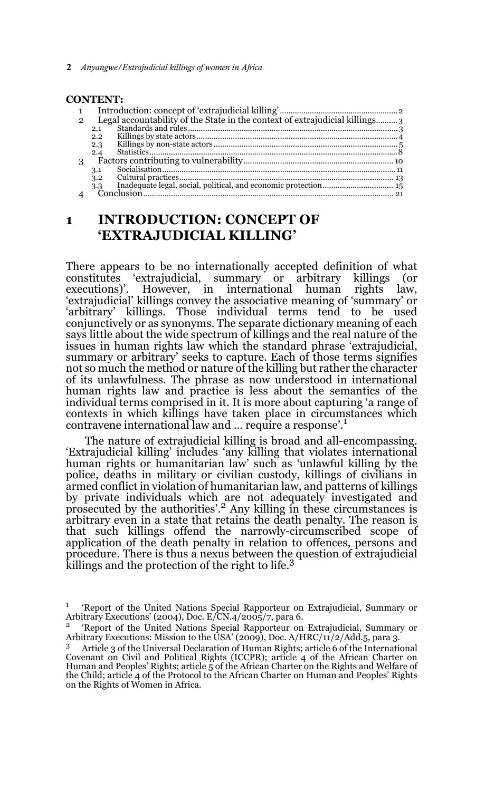2 *Anyangwe/Extrajudicial killings of women in Africa*

#### **CONTENT:**

| $\mathbf{1}$   |                                                                             |  |
|----------------|-----------------------------------------------------------------------------|--|
| $\mathfrak{p}$ | Legal accountability of the State in the context of extrajudicial killings3 |  |
|                | 2.1                                                                         |  |
|                | 2.2                                                                         |  |
|                | 2.3                                                                         |  |
|                | 2.4                                                                         |  |
| 3              |                                                                             |  |
|                | 3.1                                                                         |  |
|                | 3.2                                                                         |  |
|                | 3.3                                                                         |  |
|                |                                                                             |  |

# **1 INTRODUCTION: CONCEPT OF 'EXTRAJUDICIAL KILLING'**

There appears to be no internationally accepted definition of what constitutes 'extrajudicial, summary or arbitrary killings (or executions)'. However, in international human rights law, 'extrajudicial' killings convey the associative meaning of 'summary' or 'arbitrary' killings. Those individual terms tend to be used conjunctively or as synonyms. The separate dictionary meaning of each says little about the wide spectrum of killings and the real nature of the issues in human rights law which the standard phrase 'extrajudicial, summary or arbitrary' seeks to capture. Each of those terms signifies not so much the method or nature of the killing but rather the character of its unlawfulness. The phrase as now understood in international human rights law and practice is less about the semantics of the individual terms comprised in it. It is more about capturing 'a range of contexts in which killings have taken place in circumstances which contravene international law and … require a response'.1

The nature of extrajudicial killing is broad and all-encompassing. 'Extrajudicial killing' includes 'any killing that violates international human rights or humanitarian law' such as 'unlawful killing by the police, deaths in military or civilian custody, killings of civilians in armed conflict in violation of humanitarian law, and patterns of killings by private individuals which are not adequately investigated and prosecuted by the authorities'.2 Any killing in these circumstances is arbitrary even in a state that retains the death penalty. The reason is that such killings offend the narrowly-circumscribed scope of application of the death penalty in relation to offences, persons and procedure. There is thus a nexus between the question of extrajudicial killings and the protection of the right to life.<sup>3</sup>

<sup>&</sup>lt;sup>1</sup> 'Report of the United Nations Special Rapporteur on Extrajudicial, Summary or Arbitrary Executions' (2004), Doc. E/CN.4/2005/7, para 6.

<sup>&</sup>lt;sup>2</sup> 'Report of the United Nations Special Rapporteur on Extrajudicial, Summary or Arbitrary Executions: Mission to the USA' (2009), Doc. A/HRC/11/2/Add.5, para 3.

<sup>3</sup> Article 3 of the Universal Declaration of Human Rights; article 6 of the International Covenant on Civil and Political Rights (ICCPR); article 4 of the African Charter on Human and Peoples' Rights; article  $\frac{1}{5}$  of the African Charter on the Rights and Welfare of the Child; article 4 of the Protocol to the African Charter on Human and Peoples' Rights on the Rights of Women in Africa.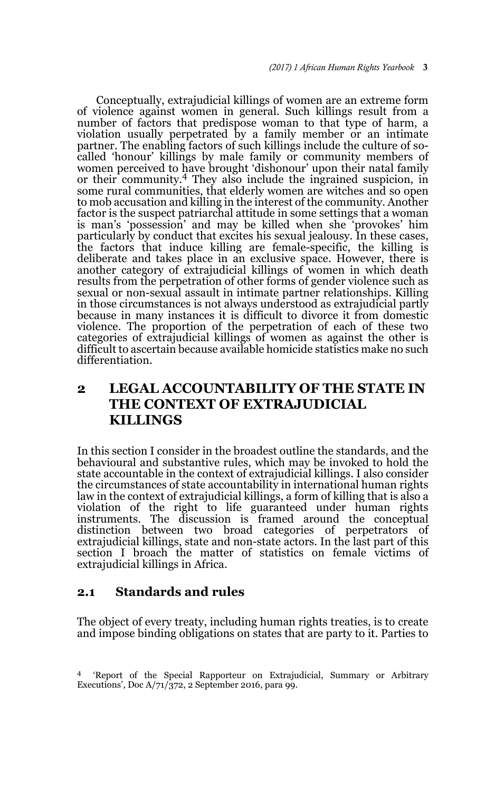Conceptually, extrajudicial killings of women are an extreme form of violence against women in general. Such killings result from a number of factors that predispose woman to that type of harm, a violation usually perpetrated by a family member or an intimate partner. The enabling factors of such killings include the culture of socalled 'honour' killings by male family or community members of women perceived to have brought 'dishonour' upon their natal family or their community.4 They also include the ingrained suspicion, in some rural communities, that elderly women are witches and so open to mob accusation and killing in the interest of the community. Another factor is the suspect patriarchal attitude in some settings that a woman is man's 'possession' and may be killed when she 'provokes' him particularly by conduct that excites his sexual jealousy. In these cases, the factors that induce killing are female-specific, the killing is deliberate and takes place in an exclusive space. However, there is another category of extrajudicial killings of women in which death results from the perpetration of other forms of gender violence such as sexual or non-sexual assault in intimate partner relationships. Killing in those circumstances is not always understood as extrajudicial partly because in many instances it is difficult to divorce it from domestic violence. The proportion of the perpetration of each of these two categories of extrajudicial killings of women as against the other is difficult to ascertain because available homicide statistics make no such differentiation.

# **2 LEGAL ACCOUNTABILITY OF THE STATE IN THE CONTEXT OF EXTRAJUDICIAL KILLINGS**

In this section I consider in the broadest outline the standards, and the behavioural and substantive rules, which may be invoked to hold the state accountable in the context of extrajudicial killings. I also consider the circumstances of state accountability in international human rights law in the context of extrajudicial killings, a form of killing that is also a violation of the right to life guaranteed under human rights instruments. The discussion is framed around the conceptual distinction between two broad categories of perpetrators of extrajudicial killings, state and non-state actors. In the last part of this section I broach the matter of statistics on female victims of extrajudicial killings in Africa.

## **2.1 Standards and rules**

The object of every treaty, including human rights treaties, is to create and impose binding obligations on states that are party to it. Parties to

<sup>4</sup> 'Report of the Special Rapporteur on Extrajudicial, Summary or Arbitrary Executions', Doc A/71/372, 2 September 2016, para 99.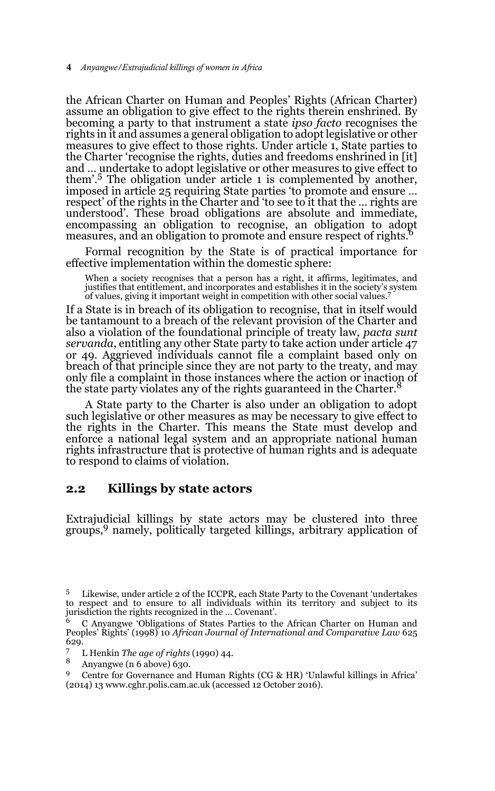the African Charter on Human and Peoples' Rights (African Charter) assume an obligation to give effect to the rights therein enshrined. By becoming a party to that instrument a state *ipso facto* recognises the rights in it and assumes a general obligation to adopt legislative or other measures to give effect to those rights. Under article 1, State parties to the Charter 'recognise the rights, duties and freedoms enshrined in [it] and … undertake to adopt legislative or other measures to give effect to them'.5 The obligation under article 1 is complemented by another, imposed in article 25 requiring State parties 'to promote and ensure … respect' of the rights in the Charter and 'to see to it that the … rights are understood'. These broad obligations are absolute and immediate, encompassing an obligation to recognise, an obligation to adopt measures, and an obligation to promote and ensure respect of rights.

Formal recognition by the State is of practical importance for effective implementation within the domestic sphere:

When a society recognises that a person has a right, it affirms, legitimates, and justifies that entitlement, and incorporates and establishes it in the society's system of values, giving it important weight in competition with other social values.7

If a State is in breach of its obligation to recognise, that in itself would be tantamount to a breach of the relevant provision of the Charter and also a violation of the foundational principle of treaty law, *pacta sunt servanda*, entitling any other State party to take action under article 47 or 49. Aggrieved individuals cannot file a complaint based only on breach of that principle since they are not party to the treaty, and may only file a complaint in those instances where the action or inaction of the state party violates any of the rights guaranteed in the Charter.

A State party to the Charter is also under an obligation to adopt such legislative or other measures as may be necessary to give effect to the rights in the Charter. This means the State must develop and enforce a national legal system and an appropriate national human rights infrastructure that is protective of human rights and is adequate to respond to claims of violation.

## **2.2 Killings by state actors**

Extrajudicial killings by state actors may be clustered into three groups,9 namely, politically targeted killings, arbitrary application of

<sup>5</sup> Likewise, under article 2 of the ICCPR, each State Party to the Covenant 'undertakes to respect and to ensure to all individuals within its territory and subject to its jurisdiction the rights recognized in the … Covenant'.

<sup>6</sup> C Anyangwe 'Obligations of States Parties to the African Charter on Human and Peoples' Rights' (1998) 10 *African Journal of International and Comparative Law* 625 629.

<sup>7</sup> L Henkin *The age of rights* (1990) 44.

<sup>8</sup> Anyangwe (n 6 above) 630.

<sup>9</sup> Centre for Governance and Human Rights (CG & HR) 'Unlawful killings in Africa' (2014) 13 www.cghr.polis.cam.ac.uk (accessed 12 October 2016).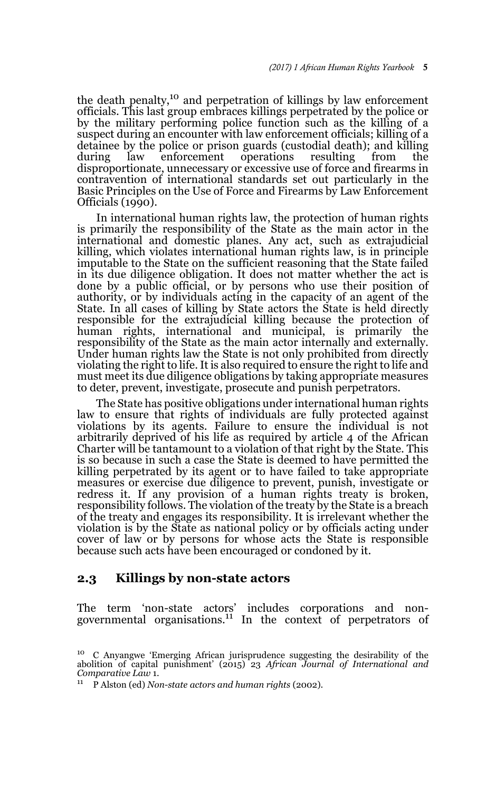the death penalty,<sup>10</sup> and perpetration of killings by law enforcement officials. This last group embraces killings perpetrated by the police or by the military performing police function such as the killing of a suspect during an encounter with law enforcement officials; killing of a detainee by the police or prison guards (custodial death); and killing during law enforcement operations resulting from the disproportionate, unnecessary or excessive use of force and firearms in contravention of international standards set out particularly in the Basic Principles on the Use of Force and Firearms by Law Enforcement Officials (1990).

In international human rights law, the protection of human rights is primarily the responsibility of the State as the main actor in the international and domestic planes. Any act, such as extrajudicial killing, which violates international human rights law, is in principle imputable to the State on the sufficient reasoning that the State failed in its due diligence obligation. It does not matter whether the act is done by a public official, or by persons who use their position of authority, or by individuals acting in the capacity of an agent of the State. In all cases of killing by State actors the State is held directly responsible for the extrajudicial killing because the protection of human rights, international and municipal, is primarily the responsibility of the State as the main actor internally and externally. Under human rights law the State is not only prohibited from directly violating the right to life. It is also required to ensure the right to life and must meet its due diligence obligations by taking appropriate measures to deter, prevent, investigate, prosecute and punish perpetrators.

The State has positive obligations under international human rights law to ensure that rights of individuals are fully protected against violations by its agents. Failure to ensure the individual is not arbitrarily deprived of his life as required by article 4 of the African Charter will be tantamount to a violation of that right by the State. This is so because in such a case the State is deemed to have permitted the killing perpetrated by its agent or to have failed to take appropriate measures or exercise due diligence to prevent, punish, investigate or redress it. If any provision of a human rights treaty is broken, responsibility follows. The violation of the treaty by the State is a breach of the treaty and engages its responsibility. It is irrelevant whether the violation is by the State as national policy or by officials acting under cover of law or by persons for whose acts the State is responsible because such acts have been encouraged or condoned by it.

#### **2.3 Killings by non-state actors**

The term 'non-state actors' includes corporations and non-governmental organisations.11 In the context of perpetrators of

<sup>10</sup> C Anyangwe 'Emerging African jurisprudence suggesting the desirability of the abolition of capital punishment' (2015) 23 *African Journal of International and Comparative Law* 1.

<sup>11</sup> P Alston (ed) *Non-state actors and human rights* (2002).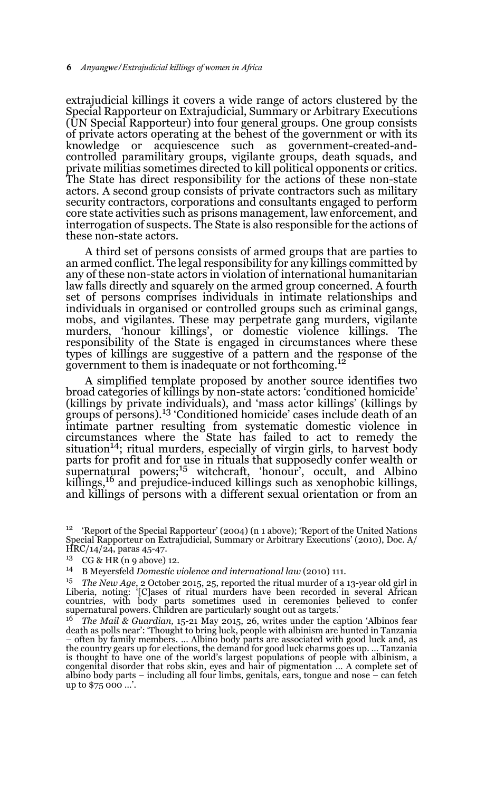extrajudicial killings it covers a wide range of actors clustered by the Special Rapporteur on Extrajudicial, Summary or Arbitrary Executions (UN Special Rapporteur) into four general groups. One group consists of private actors operating at the behest of the government or with its knowledge or acquiescence such as government-created-andcontrolled paramilitary groups, vigilante groups, death squads, and private militias sometimes directed to kill political opponents or critics. The State has direct responsibility for the actions of these non-state actors. A second group consists of private contractors such as military security contractors, corporations and consultants engaged to perform core state activities such as prisons management, law enforcement, and interrogation of suspects. The State is also responsible for the actions of these non-state actors.

A third set of persons consists of armed groups that are parties to an armed conflict. The legal responsibility for any killings committed by any of these non-state actors in violation of international humanitarian law falls directly and squarely on the armed group concerned. A fourth set of persons comprises individuals in intimate relationships and individuals in organised or controlled groups such as criminal gangs, mobs, and vigilantes. These may perpetrate gang murders, vigilante murders, 'honour killings', or domestic violence killings. The responsibility of the State is engaged in circumstances where these types of killings are suggestive of a pattern and the response of the government to them is inadequate or not forthcoming.12

A simplified template proposed by another source identifies two broad categories of killings by non-state actors: 'conditioned homicide' (killings by private individuals), and 'mass actor killings' (killings by groups of persons).13 'Conditioned homicide' cases include death of an intimate partner resulting from systematic domestic violence in circumstances where the State has failed to act to remedy the situation<sup>14</sup>; ritual murders, especially of virgin girls, to harvest body parts for profit and for use in rituals that supposedly confer wealth or supernatural powers; $15$  witchcraft, 'honour', occult, and Albino experiments powers, whenever, hence, you are the theme with the summer with the killings, if and prejudice-induced killings such as xenophobic killings, and killings of persons with a different sexual orientation or from an

<sup>12</sup> 'Report of the Special Rapporteur' (2004) (n 1 above); 'Report of the United Nations Special Rapporteur on Extrajudicial, Summary or Arbitrary Executions' (2010), Doc. A/ HRC/14/24, paras 45-47.

<sup>13</sup> CG & HR (n 9 above) 12.

<sup>14</sup> B Meyersfeld *Domestic violence and international law* (2010) 111.

<sup>&</sup>lt;sup>15</sup> *The New Age*, 2 October 2015, 25, reported the ritual murder of a 13-year old girl in Liberia, noting: '[C]ases of ritual murders have been recorded in several African countries, with body parts sometimes used in ce supernatural powers. Children are particularly sought out as targets.'

<sup>16</sup> *The Mail & Guardian,* 15-21 May 2015, 26, writes under the caption 'Albinos fear death as polls near': 'Thought to bring luck, people with albinism are hunted in Tanzania – often by family members. … Albino body parts are associated with good luck and, as the country gears up for elections, the demand for good luck charms goes up. … Tanzania is thought to have one of the world's largest populations of people with albinism, a congenital disorder that robs skin, eyes and hair of pigmentation … A complete set of albino body parts – including all four limbs, genitals, ears, tongue and nose – can fetch up to \$75 000 …'.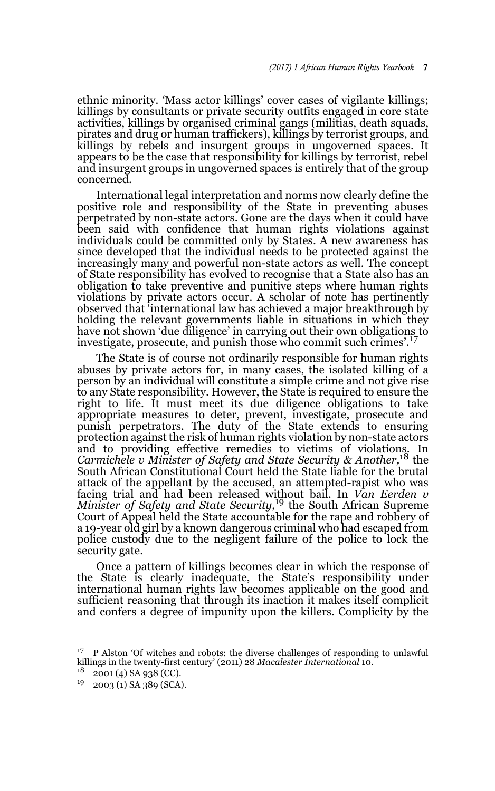ethnic minority. 'Mass actor killings' cover cases of vigilante killings; killings by consultants or private security outfits engaged in core state activities, killings by organised criminal gangs (militias, death squads, pirates and drug or human traffickers), killings by terrorist groups, and killings by rebels and insurgent groups in ungoverned spaces. It appears to be the case that responsibility for killings by terrorist, rebel and insurgent groups in ungoverned spaces is entirely that of the group concerned.

International legal interpretation and norms now clearly define the positive role and responsibility of the State in preventing abuses perpetrated by non-state actors. Gone are the days when it could have been said with confidence that human rights violations against individuals could be committed only by States. A new awareness has since developed that the individual needs to be protected against the increasingly many and powerful non-state actors as well. The concept of State responsibility has evolved to recognise that a State also has an obligation to take preventive and punitive steps where human rights violations by private actors occur. A scholar of note has pertinently observed that 'international law has achieved a major breakthrough by holding the relevant governments liable in situations in which they have not shown 'due diligence' in carrying out their own obligations to investigate, prosecute, and punish those who commit such crimes'.<sup>17</sup>

The State is of course not ordinarily responsible for human rights abuses by private actors for, in many cases, the isolated killing of a person by an individual will constitute a simple crime and not give rise to any State responsibility. However, the State is required to ensure the right to life. It must meet its due diligence obligations to take appropriate measures to deter, prevent, investigate, prosecute and punish perpetrators. The duty of the State extends to ensuring protection against the risk of human rights violation by non-state actors and to providing effective remedies to victims of violations. In *Carmichele v Minister of Safety and State Security & Another,*18 the South African Constitutional Court held the State liable for the brutal attack of the appellant by the accused, an attempted-rapist who was facing trial and had been released without bail. In *Van Eerden v Minister of Safety and State Security,*19 the South African Supreme Court of Appeal held the State accountable for the rape and robbery of a 19-year old girl by a known dangerous criminal who had escaped from police custody due to the negligent failure of the police to lock the security gate.

Once a pattern of killings becomes clear in which the response of the State is clearly inadequate, the State's responsibility under international human rights law becomes applicable on the good and sufficient reasoning that through its inaction it makes itself complicit and confers a degree of impunity upon the killers. Complicity by the

<sup>17</sup> P Alston 'Of witches and robots: the diverse challenges of responding to unlawful killings in the twenty-first century' (2011) 28 *Macalester International* 10.

 $18$  2001 (4) SA 938 (CC).

 $19$  2003 (1) SA 389 (SCA).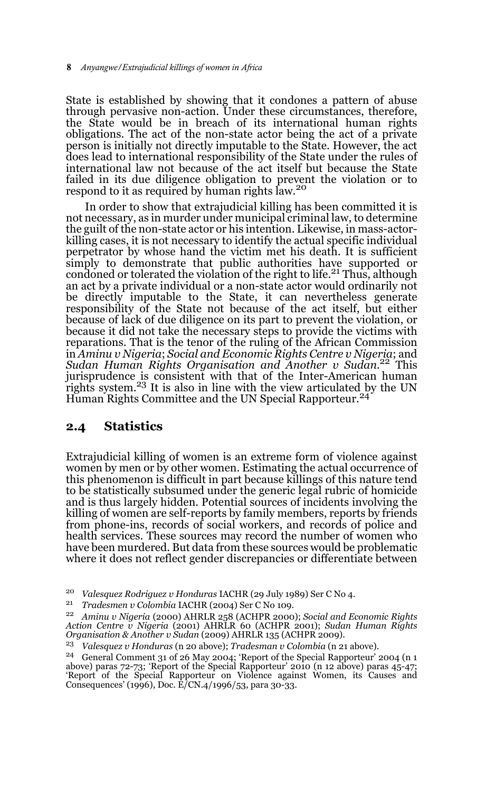State is established by showing that it condones a pattern of abuse through pervasive non-action. Under these circumstances, therefore, the State would be in breach of its international human rights obligations. The act of the non-state actor being the act of a private person is initially not directly imputable to the State. However, the act does lead to international responsibility of the State under the rules of international law not because of the act itself but because the State failed in its due diligence obligation to prevent the violation or to respond to it as required by human rights law.<sup>20</sup>

In order to show that extrajudicial killing has been committed it is not necessary, as in murder under municipal criminal law, to determine the guilt of the non-state actor or his intention. Likewise, in mass-actorkilling cases, it is not necessary to identify the actual specific individual perpetrator by whose hand the victim met his death. It is sufficient simply to demonstrate that public authorities have supported or condoned or tolerated the violation of the right to life.<sup>21</sup> Thus, although an act by a private individual or a non-state actor would ordinarily not be directly imputable to the State, it can nevertheless generate responsibility of the State not because of the act itself, but either because of lack of due diligence on its part to prevent the violation, or because it did not take the necessary steps to provide the victims with reparations. That is the tenor of the ruling of the African Commission in *Aminu v Nigeria*; *Social and Economic Rights Centre v Nigeria*; and *Sudan Human Rights Organisation and Another v Sudan.*22 This jurisprudence is consistent with that of the Inter-American human rights system.<sup>23</sup> It is also in line with the view articulated by the UN Human Rights Committee and the UN Special Rapporteur.<sup>24</sup>

## **2.4 Statistics**

Extrajudicial killing of women is an extreme form of violence against women by men or by other women. Estimating the actual occurrence of this phenomenon is difficult in part because killings of this nature tend to be statistically subsumed under the generic legal rubric of homicide and is thus largely hidden. Potential sources of incidents involving the killing of women are self-reports by family members, reports by friends from phone-ins, records of social workers, and records of police and health services. These sources may record the number of women who have been murdered. But data from these sources would be problematic where it does not reflect gender discrepancies or differentiate between

<sup>20</sup> *Valesquez Rodriguez v Honduras* IACHR (29 July 1989) Ser C No 4.

<sup>21</sup> *Tradesmen v Colombia* IACHR (2004) Ser C No 109.

<sup>22</sup> *Aminu v Nigeria* (2000) AHRLR 258 (ACHPR 2000); *Social and Economic Rights Action Centre v Nigeria* (2001) AHRLR 60 (ACHPR 2001); *Sudan Human Rights Organisation & Another v Sudan* (2009) AHRLR 135 (ACHPR 2009).

<sup>23</sup> *Valesquez v Honduras* (n 20 above); *Tradesman v Colombia* (n 21 above).

<sup>&</sup>lt;sup>24</sup> General Comment 31 of 26 May 2004; 'Report of the Special Rapporteur' 2004 (n 1<br>above) paras 72-73; 'Report of the Special Rapporteur' 2010 (n 12 above) paras 45-47;<br>'Report' of the Special Rapporteur' on Violence aga Consequences' (1996), Doc. E/CN.4/1996/53, para 30-33.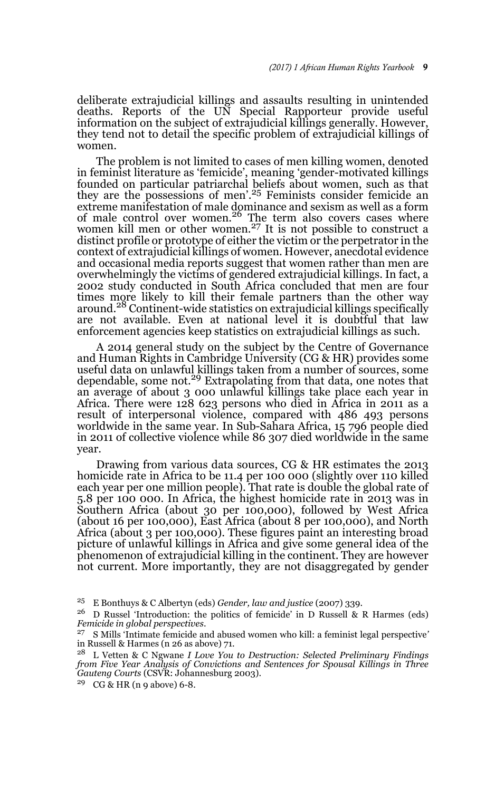deliberate extrajudicial killings and assaults resulting in unintended deaths. Reports of the UN Special Rapporteur provide useful information on the subject of extrajudicial killings generally. However, they tend not to detail the specific problem of extrajudicial killings of women.

The problem is not limited to cases of men killing women, denoted in feminist literature as 'femicide', meaning 'gender-motivated killings founded on particular patriarchal beliefs about women, such as that they are the possessions of men'.<sup>25</sup> Feminists consider femicide an extreme manifestation of male dominance and sexism as well as a form<br>of male control over women.<sup>26</sup> The term also covers cases where women kill men or other women.<sup>27</sup> It is not possible to construct a distinct profile or prototype of either the victim or the perpetrator in the context of extrajudicial killings of women. However, anecdotal evidence and occasional media reports suggest that women rather than men are overwhelmingly the victims of gendered extrajudicial killings. In fact, a 2002 study conducted in South Africa concluded that men are four times more likely to kill their female partners than the other way around.28 Continent-wide statistics on extrajudicial killings specifically are not available. Even at national level it is doubtful that law enforcement agencies keep statistics on extrajudicial killings as such.

A 2014 general study on the subject by the Centre of Governance and Human Rights in Cambridge University (CG & HR) provides some useful data on unlawful killings taken from a number of sources, some dependable, some not.<sup>29</sup> Extrapolating from that data, one notes that an average of about 3 000 unlawful killings take place each year in Africa. There were 128 623 persons who died in Africa in 2011 as a result of interpersonal violence, compared with 486 493 persons worldwide in the same year. In Sub-Sahara Africa, 15 796 people died in 2011 of collective violence while 86 307 died worldwide in the same year.

Drawing from various data sources, CG & HR estimates the 2013 homicide rate in Africa to be 11.4 per 100 000 (slightly over 110 killed each year per one million people). That rate is double the global rate of 5.8 per 100 000. In Africa, the highest homicide rate in 2013 was in Southern Africa (about 30 per 100,000), followed by West Africa (about 16 per 100,000), East Africa (about 8 per 100,000), and North Africa (about 3 per 100,000). These figures paint an interesting broad picture of unlawful killings in Africa and give some general idea of the phenomenon of extrajudicial killing in the continent. They are however not current. More importantly, they are not disaggregated by gender

<sup>25</sup> E Bonthuys & C Albertyn (eds) *Gender, law and justice* (2007) 339.

<sup>&</sup>lt;sup>26</sup> D Russel 'Introduction: the politics of femicide' in D Russell & R Harmes (eds) *Femicide in global perspectives*.

<sup>27</sup> S Mills 'Intimate femicide and abused women who kill: a feminist legal perspective*'* in Russell & Harmes (n 26 as above) 71.

<sup>28</sup> L Vetten & C Ngwane *I Love You to Destruction: Selected Preliminary Findings from Five Year Analysis of Convictions and Sentences for Spousal Killings in Three Gauteng Courts* (CSVR: Johannesburg 2003).

<sup>29</sup> CG & HR (n 9 above) 6-8.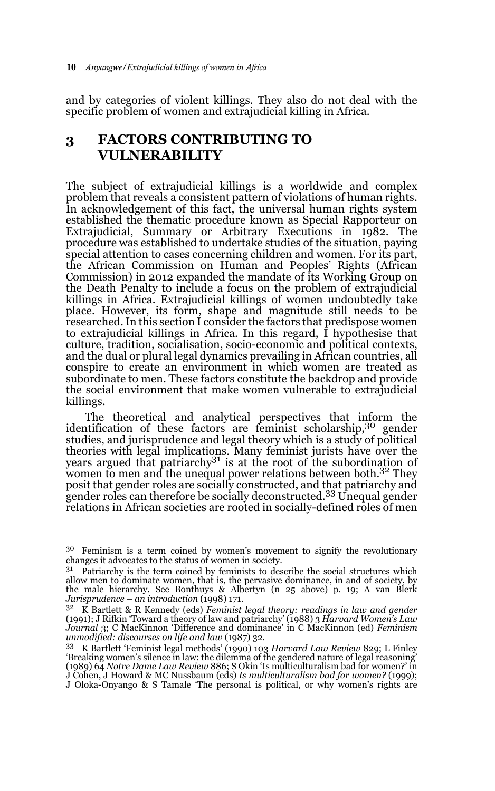and by categories of violent killings. They also do not deal with the specific problem of women and extrajudicial killing in Africa.

## **3 FACTORS CONTRIBUTING TO VULNERABILITY**

The subject of extrajudicial killings is a worldwide and complex problem that reveals a consistent pattern of violations of human rights. In acknowledgement of this fact, the universal human rights system established the thematic procedure known as Special Rapporteur on Extrajudicial, Summary or Arbitrary Executions in 1982. The procedure was established to undertake studies of the situation, paying special attention to cases concerning children and women. For its part, the African Commission on Human and Peoples' Rights (African Commission) in 2012 expanded the mandate of its Working Group on the Death Penalty to include a focus on the problem of extrajudicial killings in Africa. Extrajudicial killings of women undoubtedly take place. However, its form, shape and magnitude still needs to be researched. In this section I consider the factors that predispose women to extrajudicial killings in Africa. In this regard, I hypothesise that culture, tradition, socialisation, socio-economic and political contexts, and the dual or plural legal dynamics prevailing in African countries, all conspire to create an environment in which women are treated as subordinate to men. These factors constitute the backdrop and provide the social environment that make women vulnerable to extrajudicial killings.

The theoretical and analytical perspectives that inform the identification of these factors are feminist scholarship,<sup>30</sup> gender studies, and jurisprudence and legal theory which is a study of political theories with legal implications. Many feminist jurists have over the years argued that patriarchy<sup>31</sup> is at the root of the subordination of women to men and the unequal power relations between both.<sup>32</sup> They posit that gender roles are socially constructed, and that patriarchy and gender roles can therefore be socially deconstructed.33 Unequal gender relations in African societies are rooted in socially-defined roles of men

<sup>30</sup> Feminism is a term coined by women's movement to signify the revolutionary changes it advocates to the status of women in society.

<sup>&</sup>lt;sup>31</sup> Patriarchy is the term coined by feminists to describe the social structures which allow men to dominate women, that is, the pervasive dominance, in and of society, by the male hierarchy. See Bonthuys & Albertyn (n 25 above) p. 19; A van Blerk *Jurisprudence – an introduction* (1998) 171.

<sup>32</sup> K Bartlett & R Kennedy (eds) *Feminist legal theory: readings in law and gender* (1991); J Rifkin 'Toward a theory of law and patriarchy' (1988) 3 *Harvard Women's Law Journal* 3; C MacKinnon 'Difference and dominance' in C MacKinnon (ed) *Feminism unmodified: discourses on life and law* (1987) 32.

<sup>33</sup> K Bartlett 'Feminist legal methods' (1990) 103 *Harvard Law Review* 829; L Finley 'Breaking women's silence in law: the dilemma of the gendered nature of legal reasoning' (1989) 64 *Notre Dame Law Review* 886; S Okin 'Is multiculturalism bad for women?' in J Cohen, J Howard & MC Nussbaum (eds) *Is multiculturalism bad for women?* (1999); J Oloka-Onyango & S Tamale 'The personal is political, or why women's rights are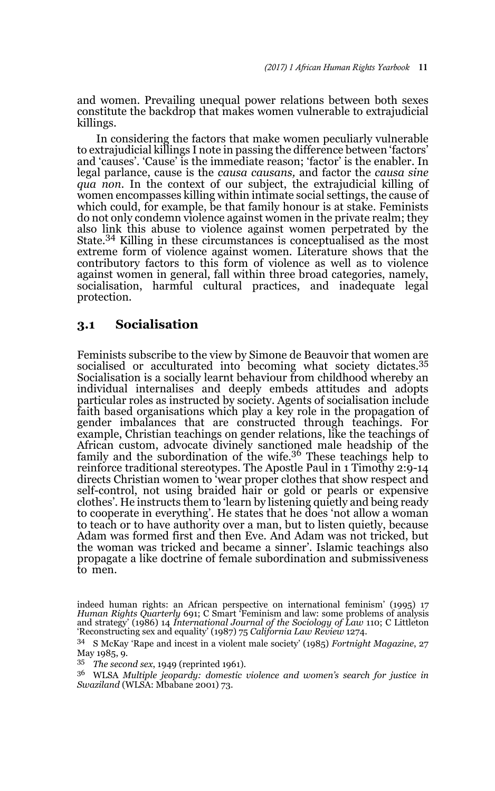and women. Prevailing unequal power relations between both sexes constitute the backdrop that makes women vulnerable to extrajudicial killings.

In considering the factors that make women peculiarly vulnerable to extrajudicial killings I note in passing the difference between 'factors' and 'causes'. 'Cause' is the immediate reason; 'factor' is the enabler. In legal parlance, cause is the *causa causans,* and factor the *causa sine qua non*. In the context of our subject, the extrajudicial killing of women encompasses killing within intimate social settings, the cause of which could, for example, be that family honour is at stake. Feminists do not only condemn violence against women in the private realm; they also link this abuse to violence against women perpetrated by the State.34 Killing in these circumstances is conceptualised as the most extreme form of violence against women. Literature shows that the contributory factors to this form of violence as well as to violence against women in general, fall within three broad categories, namely, socialisation, harmful cultural practices, and inadequate legal protection.

### **3.1 Socialisation**

Feminists subscribe to the view by Simone de Beauvoir that women are socialised or acculturated into becoming what society dictates.<sup>35</sup> Socialisation is a socially learnt behaviour from childhood whereby an individual internalises and deeply embeds attitudes and adopts particular roles as instructed by society. Agents of socialisation include faith based organisations which play a key role in the propagation of gender imbalances that are constructed through teachings. For example, Christian teachings on gender relations, like the teachings of African custom, advocate divinely sanctioned male headship of the family and the subordination of the wife.36 These teachings help to reinforce traditional stereotypes. The Apostle Paul in 1 Timothy 2:9-14 directs Christian women to 'wear proper clothes that show respect and self-control, not using braided hair or gold or pearls or expensive clothes'. He instructs them to 'learn by listening quietly and being ready to cooperate in everything'. He states that he does 'not allow a woman to teach or to have authority over a man, but to listen quietly, because Adam was formed first and then Eve. And Adam was not tricked, but the woman was tricked and became a sinner'. Islamic teachings also propagate a like doctrine of female subordination and submissiveness to men.

indeed human rights: an African perspective on international feminism' (1995) 17 *Human Rights Quarterly* 691; C Smart 'Feminism and law: some problems of analysis and strategy' (1986) 14 *International Journal of the Sociology of Law* 110; C Littleton 'Reconstructing sex and equality' (1987) 75 *California Law Review* 1274.

<sup>34</sup> S McKay 'Rape and incest in a violent male society' (1985) *Fortnight Magazine*, 27 May 1985, 9.

<sup>&</sup>lt;sup>35</sup> *The second sex*, 1949 (reprinted 1961).<br><sup>36</sup> WI SA Multiple isopardu: domastic i

<sup>36</sup> WLSA *Multiple jeopardy: domestic violence and women's search for justice in Swaziland* (WLSA: Mbabane 2001) 73.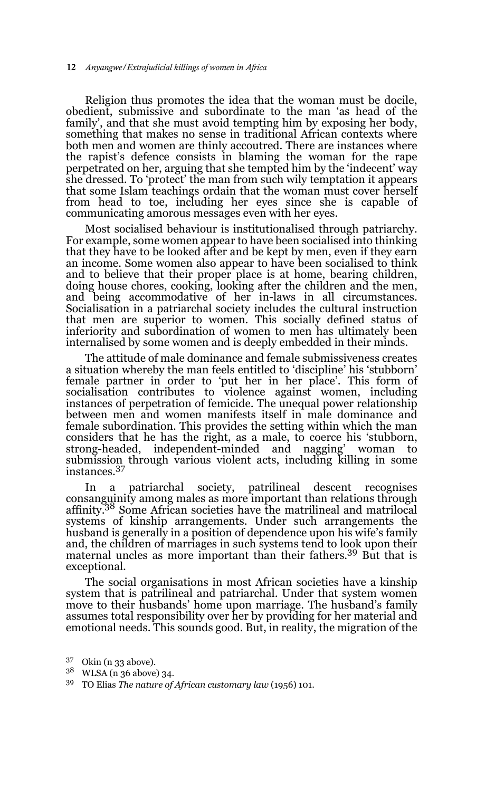Religion thus promotes the idea that the woman must be docile, obedient, submissive and subordinate to the man 'as head of the family', and that she must avoid tempting him by exposing her body, something that makes no sense in traditional African contexts where both men and women are thinly accoutred. There are instances where the rapist's defence consists in blaming the woman for the rape perpetrated on her, arguing that she tempted him by the 'indecent' way she dressed. To 'protect' the man from such wily temptation it appears that some Islam teachings ordain that the woman must cover herself from head to toe, including her eyes since she is capable of communicating amorous messages even with her eyes.

Most socialised behaviour is institutionalised through patriarchy. For example, some women appear to have been socialised into thinking that they have to be looked after and be kept by men, even if they earn an income. Some women also appear to have been socialised to think and to believe that their proper place is at home, bearing children, doing house chores, cooking, looking after the children and the men, and being accommodative of her in-laws in all circumstances. Socialisation in a patriarchal society includes the cultural instruction that men are superior to women. This socially defined status of inferiority and subordination of women to men has ultimately been internalised by some women and is deeply embedded in their minds.

The attitude of male dominance and female submissiveness creates a situation whereby the man feels entitled to 'discipline' his 'stubborn' female partner in order to 'put her in her place'. This form of socialisation contributes to violence against women, including instances of perpetration of femicide. The unequal power relationship between men and women manifests itself in male dominance and female subordination. This provides the setting within which the man considers that he has the right, as a male, to coerce his 'stubborn, strong-headed, independent-minded and nagging' woman to submission through various violent acts, including killing in some instances.<sup>37</sup>

In a patriarchal society, patrilineal descent recognises consanguinity among males as more important than relations through affinity.38 Some African societies have the matrilineal and matrilocal systems of kinship arrangements. Under such arrangements the husband is generally in a position of dependence upon his wife's family and, the children of marriages in such systems tend to look upon their maternal uncles as more important than their fathers.39 But that is exceptional.

The social organisations in most African societies have a kinship system that is patrilineal and patriarchal. Under that system women move to their husbands' home upon marriage. The husband's family assumes total responsibility over her by providing for her material and emotional needs. This sounds good. But, in reality, the migration of the

<sup>37</sup> Okin (n 33 above).

<sup>38</sup> WLSA (n 36 above) 34.

<sup>39</sup> TO Elias *The nature of African customary law* (1956) 101.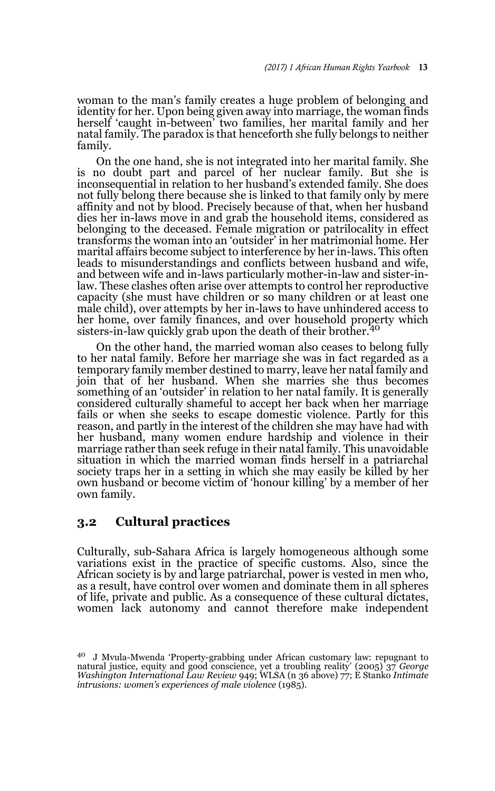woman to the man's family creates a huge problem of belonging and identity for her. Upon being given away into marriage, the woman finds herself 'caught in-between' two families, her marital family and her natal family. The paradox is that henceforth she fully belongs to neither family.

On the one hand, she is not integrated into her marital family. She is no doubt part and parcel of her nuclear family. But she is inconsequential in relation to her husband's extended family. She does not fully belong there because she is linked to that family only by mere affinity and not by blood. Precisely because of that, when her husband dies her in-laws move in and grab the household items, considered as belonging to the deceased. Female migration or patrilocality in effect transforms the woman into an 'outsider' in her matrimonial home. Her marital affairs become subject to interference by her in-laws. This often leads to misunderstandings and conflicts between husband and wife, and between wife and in-laws particularly mother-in-law and sister-inlaw. These clashes often arise over attempts to control her reproductive capacity (she must have children or so many children or at least one male child), over attempts by her in-laws to have unhindered access to her home, over family finances, and over household property which sisters-in-law quickly grab upon the death of their brother.<sup>40</sup>

On the other hand, the married woman also ceases to belong fully to her natal family. Before her marriage she was in fact regarded as a temporary family member destined to marry, leave her natal family and join that of her husband. When she marries she thus becomes something of an 'outsider' in relation to her natal family. It is generally considered culturally shameful to accept her back when her marriage fails or when she seeks to escape domestic violence. Partly for this reason, and partly in the interest of the children she may have had with her husband, many women endure hardship and violence in their marriage rather than seek refuge in their natal family. This unavoidable situation in which the married woman finds herself in a patriarchal society traps her in a setting in which she may easily be killed by her own husband or become victim of 'honour killing' by a member of her own family.

### **3.2 Cultural practices**

Culturally, sub-Sahara Africa is largely homogeneous although some variations exist in the practice of specific customs. Also, since the African society is by and large patriarchal, power is vested in men who, as a result, have control over women and dominate them in all spheres of life, private and public. As a consequence of these cultural dictates, women lack autonomy and cannot therefore make independent

<sup>40</sup> J Mvula-Mwenda 'Property-grabbing under African customary law: repugnant to natural justice, equity and good conscience, yet a troubling reality' (2005) 37 *George Washington International Law Review* 949; WLSA (n 36 above) 77; E Stanko *Intimate intrusions: women's experiences of male violence* (1985).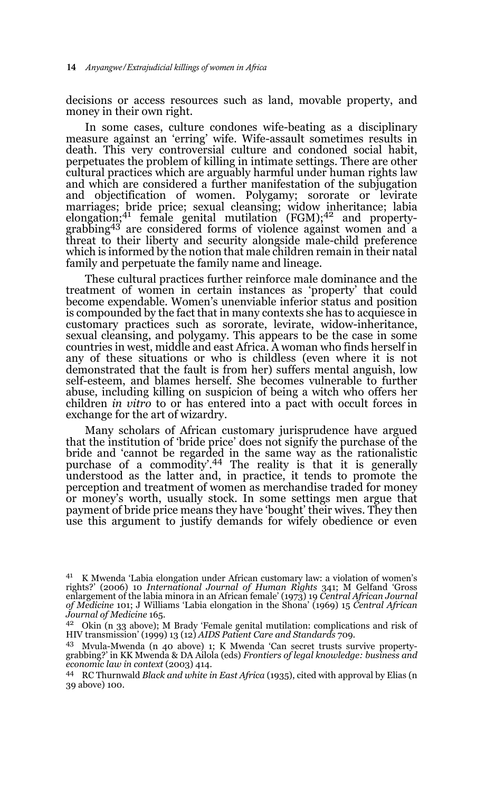decisions or access resources such as land, movable property, and money in their own right.

In some cases, culture condones wife-beating as a disciplinary measure against an 'erring' wife. Wife-assault sometimes results in death. This very controversial culture and condoned social habit, perpetuates the problem of killing in intimate settings. There are other cultural practices which are arguably harmful under human rights law and which are considered a further manifestation of the subjugation and objectification of women. Polygamy; sororate or levirate marriages; bride price; sexual cleansing; widow inheritance; labia<br>elongation;<sup>41</sup> female genital mutilation (FGM);<sup>42</sup> and propertygrabbing<sup>43</sup> are considered forms of violence against women and a threat to their liberty and security alongside male-child preference which is informed by the notion that male children remain in their natal family and perpetuate the family name and lineage.

These cultural practices further reinforce male dominance and the treatment of women in certain instances as 'property' that could become expendable. Women's unenviable inferior status and position is compounded by the fact that in many contexts she has to acquiesce in customary practices such as sororate, levirate, widow-inheritance, sexual cleansing, and polygamy. This appears to be the case in some countries in west, middle and east Africa. A woman who finds herself in any of these situations or who is childless (even where it is not demonstrated that the fault is from her) suffers mental anguish, low self-esteem, and blames herself. She becomes vulnerable to further abuse, including killing on suspicion of being a witch who offers her children *in vitro* to or has entered into a pact with occult forces in exchange for the art of wizardry.

Many scholars of African customary jurisprudence have argued that the institution of 'bride price' does not signify the purchase of the bride and 'cannot be regarded in the same way as the rationalistic purchase of a commodity'.44 The reality is that it is generally understood as the latter and, in practice, it tends to promote the perception and treatment of women as merchandise traded for money or money's worth, usually stock. In some settings men argue that payment of bride price means they have 'bought' their wives. They then use this argument to justify demands for wifely obedience or even

<sup>41</sup> K Mwenda 'Labia elongation under African customary law: a violation of women's rights?' (2006) 10 *International Journal of Human Rights* 341; M Gelfand 'Gross enlargement of the labia minora in an African female' (1973) 19 *Central African Journal of Medicine* 101; J Williams 'Labia elongation in the Shona' (1969) 15 *Central African Journal of Medicine* 165.

<sup>42</sup> Okin (n 33 above); M Brady 'Female genital mutilation: complications and risk of HIV transmission' (1999) 13 (12) *AIDS Patient Care and Standards* 709.

<sup>43</sup> Mvula-Mwenda (n 40 above) 1; K Mwenda 'Can secret trusts survive propertygrabbing?' in KK Mwenda & DA Ailola (eds) *Frontiers of legal knowledge: business and economic law in context* (2003) 414.

<sup>44</sup> RC Thurnwald *Black and white in East Africa* (1935), cited with approval by Elias (n 39 above) 100.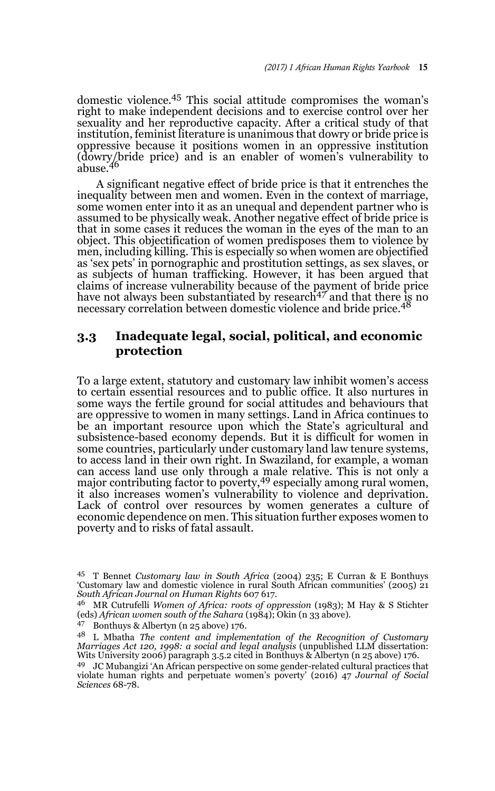domestic violence.45 This social attitude compromises the woman's right to make independent decisions and to exercise control over her sexuality and her reproductive capacity. After a critical study of that institution, feminist literature is unanimous that dowry or bride price is oppressive because it positions women in an oppressive institution (dowry/bride price) and is an enabler of women's vulnerability to abuse.<sup>46</sup>

A significant negative effect of bride price is that it entrenches the inequality between men and women. Even in the context of marriage, some women enter into it as an unequal and dependent partner who is assumed to be physically weak. Another negative effect of bride price is that in some cases it reduces the woman in the eyes of the man to an object. This objectification of women predisposes them to violence by men, including killing. This is especially so when women are objectified as 'sex pets' in pornographic and prostitution settings, as sex slaves, or as subjects of human trafficking. However, it has been argued that claims of increase vulnerability because of the payment of bride price have not always been substantiated by research<sup> $47$ </sup> and that there is no necessary correlation between domestic violence and bride price.<sup>48</sup>

## **3.3 Inadequate legal, social, political, and economic protection**

To a large extent, statutory and customary law inhibit women's access to certain essential resources and to public office. It also nurtures in some ways the fertile ground for social attitudes and behaviours that are oppressive to women in many settings. Land in Africa continues to be an important resource upon which the State's agricultural and subsistence-based economy depends. But it is difficult for women in some countries, particularly under customary land law tenure systems, to access land in their own right. In Swaziland, for example, a woman can access land use only through a male relative. This is not only a major contributing factor to poverty,<sup>49</sup> especially among rural women, it also increases women's vulnerability to violence and deprivation. Lack of control over resources by women generates a culture of economic dependence on men. This situation further exposes women to poverty and to risks of fatal assault.

<sup>45</sup> T Bennet *Customary law in South Africa* (2004) 235; E Curran & E Bonthuys 'Customary law and domestic violence in rural South African communities' (2005) 21 *South African Journal on Human Rights* 607 617.

<sup>46</sup> MR Cutrufelli *Women of Africa: roots of oppression* (1983); M Hay & S Stichter (eds) *African women south of the Sahara* (1984); Okin (n 33 above).

<sup>47</sup> Bonthuys & Albertyn (n 25 above) 176.

<sup>48</sup> L Mbatha *The content and implementation of the Recognition of Customary Marriages Act 120, 1998: a social and legal analysis* (unpublished LLM dissertation: Wits University 2006) paragraph 3.5.2 cited in Bonthuys & Albertyn (n 25 above) 176.

<sup>49</sup> JC Mubangizi 'An African perspective on some gender-related cultural practices that violate human rights and perpetuate women's poverty' (2016) 47 *Journal of Social Sciences* 68-78.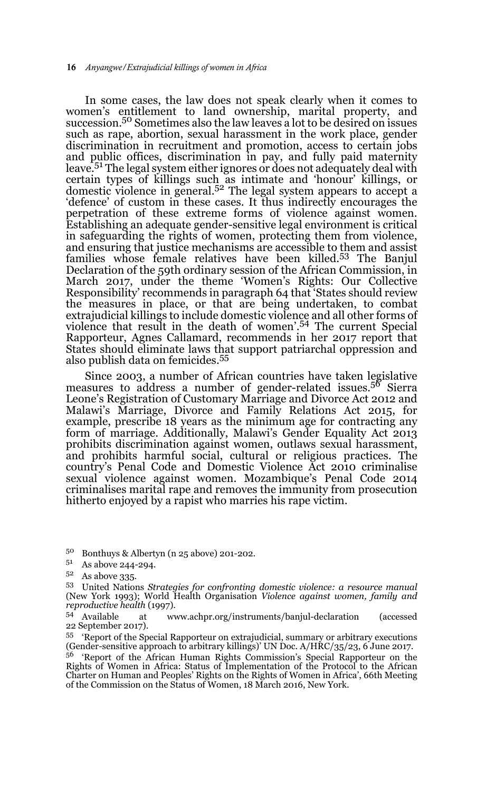In some cases, the law does not speak clearly when it comes to women's entitlement to land ownership, marital property, and succession.50 Sometimes also the law leaves a lot to be desired on issues such as rape, abortion, sexual harassment in the work place, gender discrimination in recruitment and promotion, access to certain jobs and public offices, discrimination in pay, and fully paid maternity leave.<sup>51</sup> The legal system either ignores or does not adequately deal with certain types of killings such as intimate and 'honour' killings, or domestic violence in general.<sup>52</sup> The legal system appears to accept a 'defence' of custom in these cases. It thus indirectly encourages the perpetration of these extreme forms of violence against women. Establishing an adequate gender-sensitive legal environment is critical in safeguarding the rights of women, protecting them from violence, and ensuring that justice mechanisms are accessible to them and assist families whose female relatives have been killed.<sup>53</sup> The Banjul Declaration of the 59th ordinary session of the African Commission, in March 2017, under the theme 'Women's Rights: Our Collective Responsibility' recommends in paragraph 64 that 'States should review the measures in place, or that are being undertaken, to combat extrajudicial killings to include domestic violence and all other forms of violence that result in the death of women'.54 The current Special Rapporteur, Agnes Callamard, recommends in her 2017 report that States should eliminate laws that support patriarchal oppression and also publish data on femicides.55

Since 2003, a number of African countries have taken legislative measures to address a number of gender-related issues.<sup>56</sup> Sierra Leone's Registration of Customary Marriage and Divorce Act 2012 and Malawi's Marriage, Divorce and Family Relations Act 2015, for example, prescribe 18 years as the minimum age for contracting any form of marriage. Additionally, Malawi's Gender Equality Act 2013 prohibits discrimination against women, outlaws sexual harassment, and prohibits harmful social, cultural or religious practices. The country's Penal Code and Domestic Violence Act 2010 criminalise sexual violence against women. Mozambique's Penal Code 2014 criminalises marital rape and removes the immunity from prosecution hitherto enjoyed by a rapist who marries his rape victim.

<sup>50</sup> Bonthuys & Albertyn (n 25 above) 201-202.

<sup>51</sup> As above 244-294.

 $52$  As above 335.

<sup>53</sup> United Nations *Strategies for confronting domestic violence: a resource manual* (New York 1993); World Health Organisation *Violence against women, family and reproductive health* (1997).<br><sup>54</sup> Available at ww

at www.achpr.org/instruments/banjul-declaration (accessed 22 September 2017).

<sup>55</sup> 'Report of the Special Rapporteur on extrajudicial, summary or arbitrary executions (Gender-sensitive approach to arbitrary killings)' UN Doc. A/HRC/35/23, 6 June 2017.

<sup>56</sup> 'Report of the African Human Rights Commission's Special Rapporteur on the Rights of Women in Africa: Status of Implementation of the Protocol to the African Charter on Human and Peoples' Rights on the Rights of Women in Africa', 66th Meeting of the Commission on the Status of Women, 18 March 2016, New York.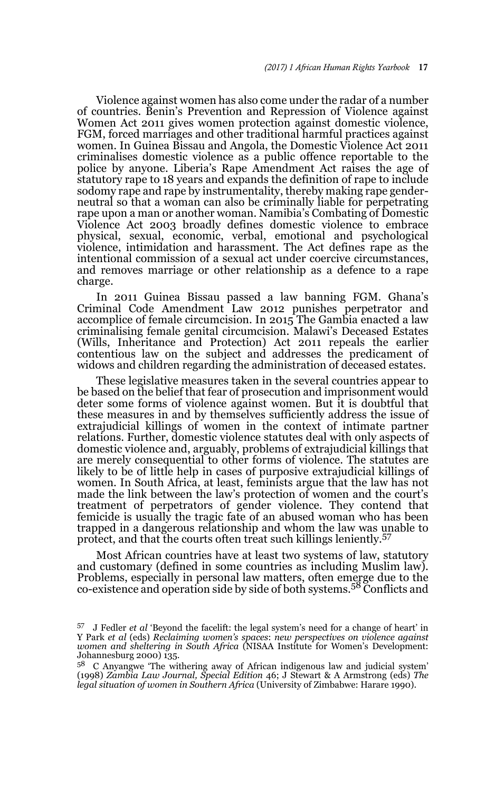Violence against women has also come under the radar of a number of countries. Benin's Prevention and Repression of Violence against Women Act 2011 gives women protection against domestic violence, FGM, forced marriages and other traditional harmful practices against women. In Guinea Bissau and Angola, the Domestic Violence Act 2011 criminalises domestic violence as a public offence reportable to the police by anyone. Liberia's Rape Amendment Act raises the age of statutory rape to 18 years and expands the definition of rape to include sodomy rape and rape by instrumentality, thereby making rape genderneutral so that a woman can also be criminally liable for perpetrating rape upon a man or another woman. Namibia's Combating of Domestic Violence Act 2003 broadly defines domestic violence to embrace physical, sexual, economic, verbal, emotional and psychological violence, intimidation and harassment. The Act defines rape as the intentional commission of a sexual act under coercive circumstances, and removes marriage or other relationship as a defence to a rape charge.

In 2011 Guinea Bissau passed a law banning FGM. Ghana's Criminal Code Amendment Law 2012 punishes perpetrator and accomplice of female circumcision. In 2015 The Gambia enacted a law criminalising female genital circumcision. Malawi's Deceased Estates (Wills, Inheritance and Protection) Act 2011 repeals the earlier contentious law on the subject and addresses the predicament of widows and children regarding the administration of deceased estates.

These legislative measures taken in the several countries appear to be based on the belief that fear of prosecution and imprisonment would deter some forms of violence against women. But it is doubtful that these measures in and by themselves sufficiently address the issue of extrajudicial killings of women in the context of intimate partner relations. Further, domestic violence statutes deal with only aspects of domestic violence and, arguably, problems of extrajudicial killings that are merely consequential to other forms of violence. The statutes are likely to be of little help in cases of purposive extrajudicial killings of women. In South Africa, at least, feminists argue that the law has not made the link between the law's protection of women and the court's treatment of perpetrators of gender violence. They contend that femicide is usually the tragic fate of an abused woman who has been trapped in a dangerous relationship and whom the law was unable to protect, and that the courts often treat such killings leniently.<sup>57</sup>

Most African countries have at least two systems of law, statutory and customary (defined in some countries as including Muslim law). Problems, especially in personal law matters, often emerge due to the co-existence and operation side by side of both systems.58 Conflicts and

<sup>57</sup> J Fedler *et al* 'Beyond the facelift: the legal system's need for a change of heart' in Y Park *et al* (eds) *Reclaiming women's spaces*: *new perspectives on violence against women and sheltering in South Africa* (NISAA Institute for Women's Development: Johannesburg 2000) 135.

<sup>58</sup> C Anyangwe 'The withering away of African indigenous law and judicial system' (1998) *Zambia Law Journal, Special Edition* 46; J Stewart & A Armstrong (eds) *The legal situation of women in Southern Africa* (University of Zimbabwe: Harare 1990).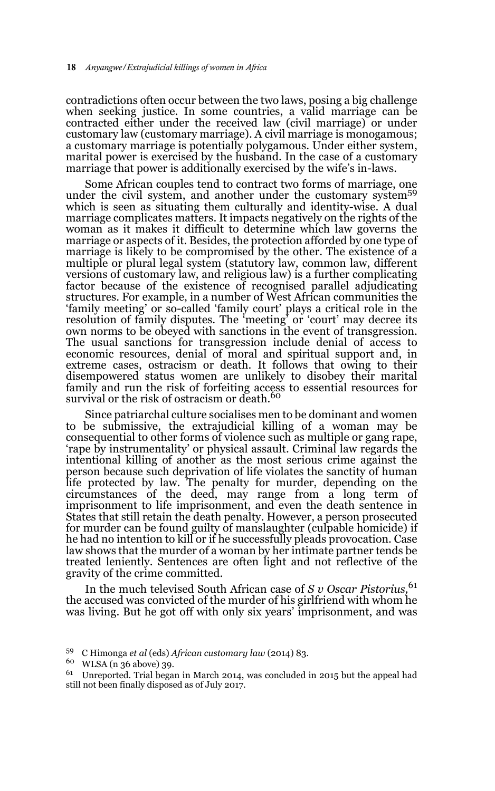contradictions often occur between the two laws, posing a big challenge when seeking justice. In some countries, a valid marriage can be contracted either under the received law (civil marriage) or under customary law (customary marriage). A civil marriage is monogamous; a customary marriage is potentially polygamous. Under either system, marital power is exercised by the husband. In the case of a customary marriage that power is additionally exercised by the wife's in-laws.

Some African couples tend to contract two forms of marriage, one under the civil system, and another under the customary system<sup>59</sup> which is seen as situating them culturally and identity-wise. A dual marriage complicates matters. It impacts negatively on the rights of the woman as it makes it difficult to determine which law governs the marriage or aspects of it. Besides, the protection afforded by one type of marriage is likely to be compromised by the other. The existence of a multiple or plural legal system (statutory law, common law, different versions of customary law, and religious law) is a further complicating factor because of the existence of recognised parallel adjudicating structures. For example, in a number of West African communities the 'family meeting' or so-called 'family court' plays a critical role in the resolution of family disputes. The 'meeting' or 'court' may decree its own norms to be obeyed with sanctions in the event of transgression. The usual sanctions for transgression include denial of access to economic resources, denial of moral and spiritual support and, in extreme cases, ostracism or death. It follows that owing to their disempowered status women are unlikely to disobey their marital family and run the risk of forfeiting access to essential resources for<br>survival or the risk of ostracism or death.<sup>60</sup>

Since patriarchal culture socialises men to be dominant and women to be submissive, the extrajudicial killing of a woman may be consequential to other forms of violence such as multiple or gang rape, 'rape by instrumentality' or physical assault. Criminal law regards the intentional killing of another as the most serious crime against the person because such deprivation of life violates the sanctity of human life protected by law. The penalty for murder, depending on the circumstances of the deed, may range from a long term of imprisonment to life imprisonment, and even the death sentence in States that still retain the death penalty. However, a person prosecuted for murder can be found guilty of manslaughter (culpable homicide) if he had no intention to kill or if he successfully pleads provocation. Case law shows that the murder of a woman by her intimate partner tends be treated leniently. Sentences are often light and not reflective of the gravity of the crime committed.

In the much televised South African case of *S v Oscar Pistorius,*<sup>61</sup> the accused was convicted of the murder of his girlfriend with whom he was living. But he got off with only six years' imprisonment, and was

<sup>59</sup> C Himonga *et al* (eds) *African customary law* (2014) 83.

 $^{60}$  WLSA (n 36 above) 39.<br> $^{61}$  Unroported Trial bega

 $61$  Unreported. Trial began in March 2014, was concluded in 2015 but the appeal had still not been finally disposed as of July 2017.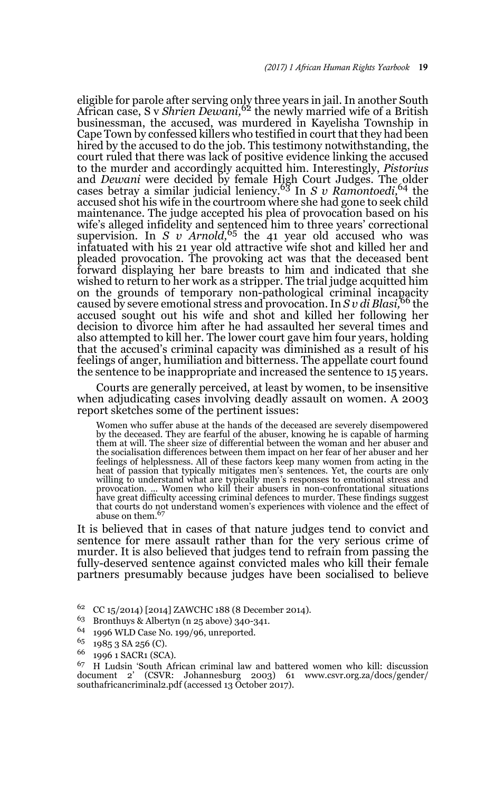eligible for parole after serving only three years in jail. In another South African case, S v *Shrien Dewani,*62 the newly married wife of a British businessman, the accused, was murdered in Kayelisha Township in Cape Town by confessed killers who testified in court that they had been hired by the accused to do the job. This testimony notwithstanding, the court ruled that there was lack of positive evidence linking the accused to the murder and accordingly acquitted him. Interestingly, *Pistorius* and *Dewani* were decided by female High Court Judges. The older cases betray a similar judicial leniency.63 In *S v Ramontoedi,*64 the accused shot his wife in the courtroom where she had gone to seek child maintenance. The judge accepted his plea of provocation based on his wife's alleged infidelity and sentenced him to three years' correctional supervision. In *S v Arnold,*65 the 41 year old accused who was infatuated with his 21 year old attractive wife shot and killed her and pleaded provocation. The provoking act was that the deceased bent forward displaying her bare breasts to him and indicated that she wished to return to her work as a stripper. The trial judge acquitted him on the grounds of temporary non-pathological criminal incapacity caused by severe emotional stress and provocation. In *S v di Blasi,*66 the accused sought out his wife and shot and killed her following her decision to divorce him after he had assaulted her several times and also attempted to kill her. The lower court gave him four years, holding that the accused's criminal capacity was diminished as a result of his feelings of anger, humiliation and bitterness. The appellate court found the sentence to be inappropriate and increased the sentence to 15 years.

Courts are generally perceived, at least by women, to be insensitive when adjudicating cases involving deadly assault on women. A 2003 report sketches some of the pertinent issues:

Women who suffer abuse at the hands of the deceased are severely disempowered by the deceased. They are fearful of the abuser, knowing he is capable of harming them at will. The sheer size of differential between the woman and her abuser and the socialisation differences between them impact on her fear of her abuser and her feelings of helplessness. All of these factors keep many women from acting in the heat of passion that typically mitigates men's sentences. Yet, the courts are only willing to understand what are typically men's responses to emotional stress and provocation. ... Women who kill their abusers in non-confrontational situations<br>have great difficulty accessing criminal defences to murder. These findings suggest that courts do not understand women's experiences with violence and the effect of abuse on them.

It is believed that in cases of that nature judges tend to convict and sentence for mere assault rather than for the very serious crime of murder. It is also believed that judges tend to refrain from passing the fully-deserved sentence against convicted males who kill their female partners presumably because judges have been socialised to believe

<sup>&</sup>lt;sup>62</sup> CC 15/2014) [2014] ZAWCHC 188 (8 December 2014).<br><sup>63</sup> Bronthuys & Albertyn (n. 25 above) 240-241

<sup>&</sup>lt;sup>63</sup> Bronthuys & Albertyn (n 25 above) 340-341.<br><sup>64</sup> 1006 WLD Case No. 100/06, unreported

<sup>&</sup>lt;sup>64</sup> 1996 WLD Case No. 199/96, unreported.<br><sup>65</sup> 1985 8 8 9 56 (C)

 $^{65}$  1985 3 SA 256 (C).

 $^{66}$  1996 1 SACR1 (SCA).

<sup>67</sup> H Ludsin 'South African criminal law and battered women who kill: discussion document 2' (CSVR: Johannesburg 2003) 61 www.csvr.org.za/docs/gender/ southafricancriminal2.pdf (accessed 13 October 2017).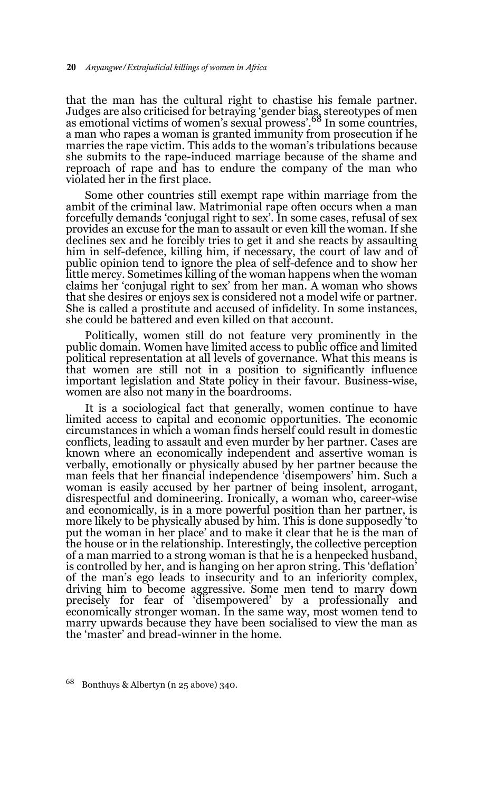that the man has the cultural right to chastise his female partner. Judges are also criticised for betraying 'gender bias, stereotypes of men as emotional victims of women's sexual prowess'.68 In some countries, a man who rapes a woman is granted immunity from prosecution if he marries the rape victim. This adds to the woman's tribulations because she submits to the rape-induced marriage because of the shame and reproach of rape and has to endure the company of the man who violated her in the first place.

Some other countries still exempt rape within marriage from the ambit of the criminal law. Matrimonial rape often occurs when a man forcefully demands 'conjugal right to sex'. In some cases, refusal of sex provides an excuse for the man to assault or even kill the woman. If she declines sex and he forcibly tries to get it and she reacts by assaulting him in self-defence, killing him, if necessary, the court of law and of public opinion tend to ignore the plea of self-defence and to show her little mercy. Sometimes killing of the woman happens when the woman claims her 'conjugal right to sex' from her man. A woman who shows that she desires or enjoys sex is considered not a model wife or partner. She is called a prostitute and accused of infidelity. In some instances, she could be battered and even killed on that account.

Politically, women still do not feature very prominently in the public domain. Women have limited access to public office and limited political representation at all levels of governance. What this means is that women are still not in a position to significantly influence important legislation and State policy in their favour. Business-wise, women are also not many in the boardrooms.

It is a sociological fact that generally, women continue to have limited access to capital and economic opportunities. The economic circumstances in which a woman finds herself could result in domestic conflicts, leading to assault and even murder by her partner. Cases are known where an economically independent and assertive woman is verbally, emotionally or physically abused by her partner because the man feels that her financial independence 'disempowers' him. Such a woman is easily accused by her partner of being insolent, arrogant, disrespectful and domineering. Ironically, a woman who, career-wise and economically, is in a more powerful position than her partner, is more likely to be physically abused by him. This is done supposedly 'to put the woman in her place' and to make it clear that he is the man of the house or in the relationship. Interestingly, the collective perception of a man married to a strong woman is that he is a henpecked husband, is controlled by her, and is hanging on her apron string. This 'deflation' of the man's ego leads to insecurity and to an inferiority complex, driving him to become aggressive. Some men tend to marry down precisely for fear of 'disempowered' by a professionally and economically stronger woman. In the same way, most women tend to marry upwards because they have been socialised to view the man as the 'master' and bread-winner in the home.

<sup>68</sup> Bonthuys & Albertyn (n 25 above) 340.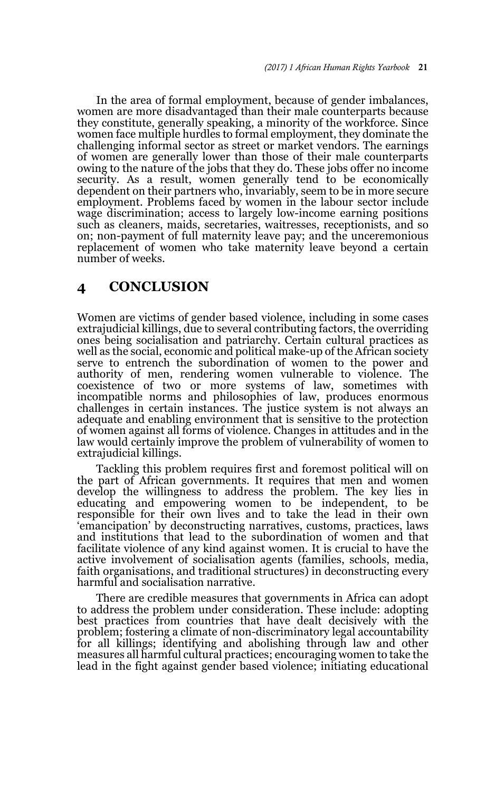In the area of formal employment, because of gender imbalances, women are more disadvantaged than their male counterparts because they constitute, generally speaking, a minority of the workforce. Since women face multiple hurdles to formal employment, they dominate the challenging informal sector as street or market vendors. The earnings of women are generally lower than those of their male counterparts owing to the nature of the jobs that they do. These jobs offer no income security. As a result, women generally tend to be economically dependent on their partners who, invariably, seem to be in more secure employment. Problems faced by women in the labour sector include wage discrimination; access to largely low-income earning positions such as cleaners, maids, secretaries, waitresses, receptionists, and so on; non-payment of full maternity leave pay; and the unceremonious replacement of women who take maternity leave beyond a certain number of weeks.

## **4 CONCLUSION**

Women are victims of gender based violence, including in some cases extrajudicial killings, due to several contributing factors, the overriding ones being socialisation and patriarchy. Certain cultural practices as well as the social, economic and political make-up of the African society serve to entrench the subordination of women to the power and authority of men, rendering women vulnerable to violence. The coexistence of two or more systems of law, sometimes with incompatible norms and philosophies of law, produces enormous challenges in certain instances. The justice system is not always an adequate and enabling environment that is sensitive to the protection of women against all forms of violence. Changes in attitudes and in the law would certainly improve the problem of vulnerability of women to extrajudicial killings.

Tackling this problem requires first and foremost political will on the part of African governments. It requires that men and women develop the willingness to address the problem. The key lies in educating and empowering women to be independent, to be responsible for their own lives and to take the lead in their own 'emancipation' by deconstructing narratives, customs, practices, laws and institutions that lead to the subordination of women and that facilitate violence of any kind against women. It is crucial to have the active involvement of socialisation agents (families, schools, media, faith organisations, and traditional structures) in deconstructing every harmful and socialisation narrative.

There are credible measures that governments in Africa can adopt to address the problem under consideration. These include: adopting best practices from countries that have dealt decisively with the problem; fostering a climate of non-discriminatory legal accountability for all killings; identifying and abolishing through law and other measures all harmful cultural practices; encouraging women to take the lead in the fight against gender based violence; initiating educational